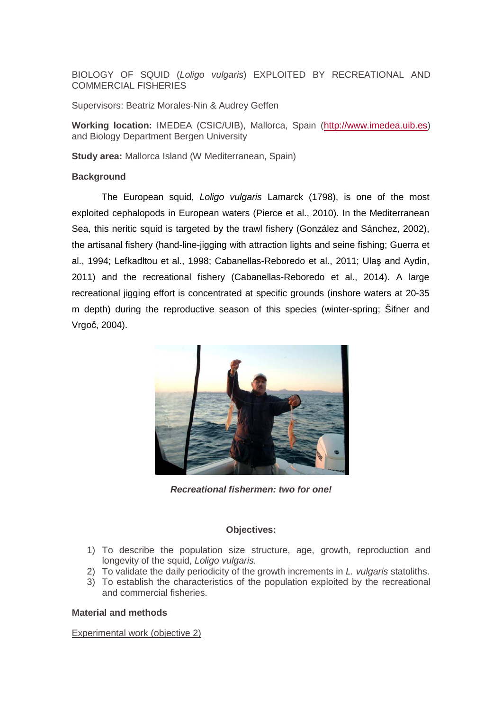BIOLOGY OF SQUID (Loligo vulgaris) EXPLOITED BY RECREATIONAL AND COMMERCIAL FISHERIES

Supervisors: Beatriz Morales-Nin & Audrey Geffen

**Working location:** IMEDEA (CSIC/UIB), Mallorca, Spain (http://www.imedea.uib.es) and Biology Department Bergen University

**Study area:** Mallorca Island (W Mediterranean, Spain)

### **Background**

The European squid, Loligo vulgaris Lamarck (1798), is one of the most exploited cephalopods in European waters (Pierce et al., 2010). In the Mediterranean Sea, this neritic squid is targeted by the trawl fishery (González and Sánchez, 2002), the artisanal fishery (hand-line-jigging with attraction lights and seine fishing; Guerra et al., 1994; Lefkadltou et al., 1998; Cabanellas-Reboredo et al., 2011; Ulaş and Aydin, 2011) and the recreational fishery (Cabanellas-Reboredo et al., 2014). A large recreational jigging effort is concentrated at specific grounds (inshore waters at 20-35 m depth) during the reproductive season of this species (winter-spring; Šifner and Vrgoč, 2004).



**Recreational fishermen: two for one!** 

### **Objectives:**

- 1) To describe the population size structure, age, growth, reproduction and longevity of the squid, Loligo vulgaris.
- 2) To validate the daily periodicity of the growth increments in L. vulgaris statoliths.
- 3) To establish the characteristics of the population exploited by the recreational and commercial fisheries.

### **Material and methods**

Experimental work (objective 2)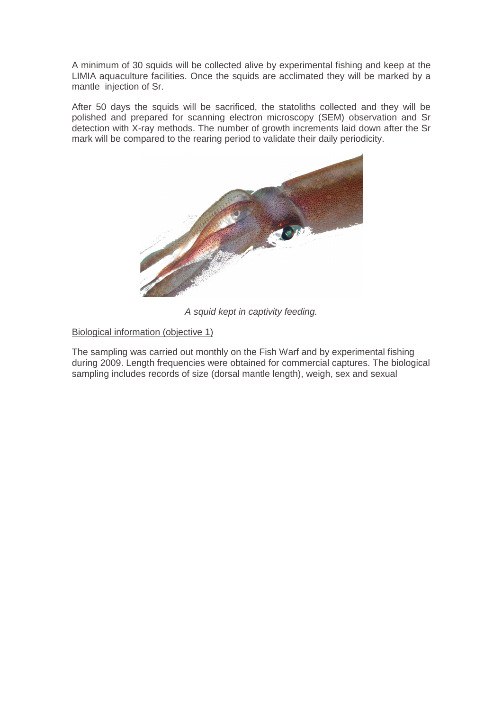A minimum of 30 squids will be collected alive by experimental fishing and keep at the LIMIA aquaculture facilities. Once the squids are acclimated they will be marked by a mantle injection of Sr.

After 50 days the squids will be sacrificed, the statoliths collected and they will be polished and prepared for scanning electron microscopy (SEM) observation and Sr detection with X-ray methods. The number of growth increments laid down after the Sr mark will be compared to the rearing period to validate their daily periodicity.



A squid kept in captivity feeding.

Biological information (objective 1)

The sampling was carried out monthly on the Fish Warf and by experimental fishing during 2009. Length frequencies were obtained for commercial captures. The biological sampling includes records of size (dorsal mantle length), weigh, sex and sexual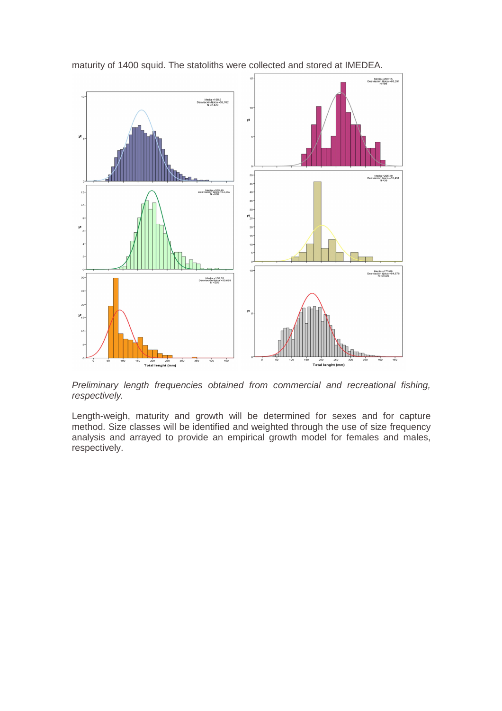

maturity of 1400 squid. The statoliths were collected and stored at IMEDEA.

Preliminary length frequencies obtained from commercial and recreational fishing, respectively.

Length-weigh, maturity and growth will be determined for sexes and for capture method. Size classes will be identified and weighted through the use of size frequency analysis and arrayed to provide an empirical growth model for females and males, respectively.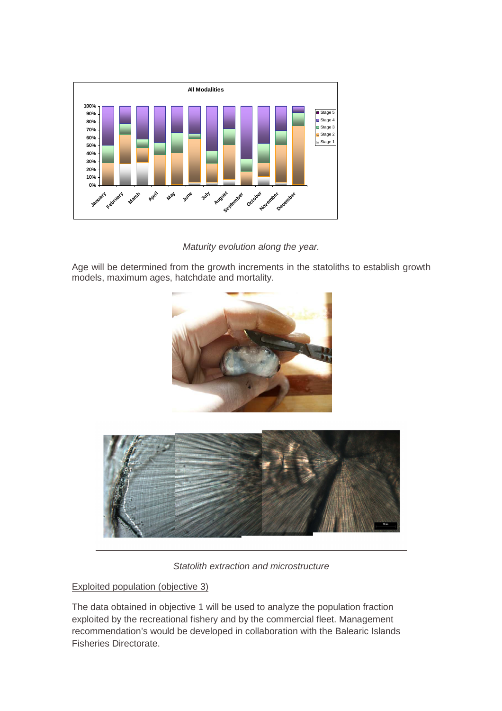

Maturity evolution along the year.

Age will be determined from the growth increments in the statoliths to establish growth models, maximum ages, hatchdate and mortality.





Statolith extraction and microstructure

# Exploited population (objective 3)

The data obtained in objective 1 will be used to analyze the population fraction exploited by the recreational fishery and by the commercial fleet. Management recommendation's would be developed in collaboration with the Balearic Islands Fisheries Directorate.